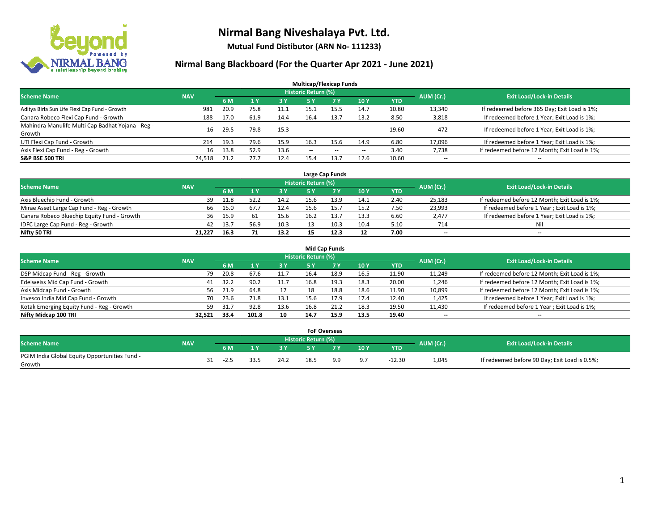

**Mutual Fund Distibutor (ARN No- 111233)**

| <b>Multicap/Flexicap Funds</b>                    |            |      |      |            |                            |                                                |                          |            |                          |                                               |  |  |  |
|---------------------------------------------------|------------|------|------|------------|----------------------------|------------------------------------------------|--------------------------|------------|--------------------------|-----------------------------------------------|--|--|--|
| <b>Scheme Name</b>                                | <b>NAV</b> |      |      |            | <b>Historic Return (%)</b> |                                                |                          |            | AUM (Cr.)                | <b>Exit Load/Lock-in Details</b>              |  |  |  |
|                                                   |            | 6 M  |      | <b>3 Y</b> | 5 Y                        | 7 <sub>V</sub>                                 | 10Y                      | <b>YTD</b> |                          |                                               |  |  |  |
| Aditya Birla Sun Life Flexi Cap Fund - Growth     | 981        | 20.9 | 75.8 | 11.1       | 15.1                       | 15.5                                           | 14.7                     | 10.80      | 13,340                   | If redeemed before 365 Day; Exit Load is 1%;  |  |  |  |
| Canara Robeco Flexi Cap Fund - Growth             | 188        | 17.0 | 61.9 | 14.4       | 16.4                       | 13.7                                           | 13.2                     | 8.50       | 3,818                    | If redeemed before 1 Year; Exit Load is 1%;   |  |  |  |
| Mahindra Manulife Multi Cap Badhat Yojana - Reg - | 16         | 29.5 | 79.8 | 15.3       | --                         | $\sim$                                         | $\sim$ $\sim$            | 19.60      | 472                      | If redeemed before 1 Year; Exit Load is 1%;   |  |  |  |
| Growth                                            |            |      |      |            |                            |                                                |                          |            |                          |                                               |  |  |  |
| UTI Flexi Cap Fund - Growth                       | 214        | 19.3 | 79.6 | 15.9       | 16.3                       | 15.6                                           | 14.9                     | 6.80       | 17,096                   | If redeemed before 1 Year; Exit Load is 1%;   |  |  |  |
| Axis Flexi Cap Fund - Reg - Growth                | 16         | 13.8 | 52.9 | 13.6       | $\sim$ $\sim$              | $\hspace{0.1mm}-\hspace{0.1mm}-\hspace{0.1mm}$ | $\hspace{0.05cm} \cdots$ | 3.40       | 7,738                    | If redeemed before 12 Month; Exit Load is 1%; |  |  |  |
| <b>S&amp;P BSE 500 TRI</b>                        | 24,518     | 21.2 | 77.7 | 12.4       | 15.4                       | 13.7                                           | 12.6                     | 10.60      | $\overline{\phantom{a}}$ | $- -$                                         |  |  |  |

|                                             |            |      |      |      |                     | Large Cap Funds |      |      |                          |                                               |
|---------------------------------------------|------------|------|------|------|---------------------|-----------------|------|------|--------------------------|-----------------------------------------------|
| <b>Scheme Name</b>                          | <b>NAV</b> |      |      |      | Historic Return (%) |                 |      |      | AUM (Cr.)                | <b>Exit Load/Lock-in Details</b>              |
|                                             |            | 6 M  |      | 3Y   |                     | 7 Y             | 10Y  | YTD  |                          |                                               |
| Axis Bluechip Fund - Growth                 | 39         | 11.8 | 52.2 | 14.2 | 15.6                | 13.9            | 14.1 | 2.40 | 25,183                   | If redeemed before 12 Month; Exit Load is 1%; |
| Mirae Asset Large Cap Fund - Reg - Growth   | 66         | 15.0 | 67.7 | 12.4 | 15.6                | 15.7            | 15.2 | 7.50 | 23,993                   | If redeemed before 1 Year; Exit Load is 1%;   |
| Canara Robeco Bluechip Equity Fund - Growth | 36         | 15.9 |      | 15.6 | 16.2                |                 | 13.3 | 6.60 | 2,477                    | If redeemed before 1 Year; Exit Load is 1%;   |
| IDFC Large Cap Fund - Reg - Growth          | 42         | 13.7 | 56.9 | 10.3 |                     | 10.3            | 10.4 | 5.10 | 714                      | Nil                                           |
| Nifty 50 TRI                                | 21.227     | 16.3 |      | 13.2 |                     | 12.3            | 12   | 7.00 | $\overline{\phantom{a}}$ | $\overline{\phantom{a}}$                      |

| <b>Mid Cap Funds</b>                      |            |           |                                  |           |      |      |      |            |                          |                                               |  |  |  |  |
|-------------------------------------------|------------|-----------|----------------------------------|-----------|------|------|------|------------|--------------------------|-----------------------------------------------|--|--|--|--|
| <b>Scheme Name</b>                        | <b>NAV</b> | AUM (Cr.) | <b>Exit Load/Lock-in Details</b> |           |      |      |      |            |                          |                                               |  |  |  |  |
|                                           |            | 6 M       |                                  | <b>3Y</b> | 5 Y  |      | 10Y  | <b>YTD</b> |                          |                                               |  |  |  |  |
| DSP Midcap Fund - Reg - Growth            | 79         | 20.8      | 67.6                             | 11.7      | 16.4 | 18.9 | 16.5 | 11.90      | 11,249                   | If redeemed before 12 Month; Exit Load is 1%; |  |  |  |  |
| Edelweiss Mid Cap Fund - Growth           | 41         | 32.2      | 90.2                             | 11.7      | 16.8 | 19.3 | 18.3 | 20.00      | 1,246                    | If redeemed before 12 Month; Exit Load is 1%; |  |  |  |  |
| Axis Midcap Fund - Growth                 | 56         | 21.9      | 64.8                             |           | 18   | 18.8 | 18.6 | 11.90      | 10,899                   | If redeemed before 12 Month; Exit Load is 1%; |  |  |  |  |
| Invesco India Mid Cap Fund - Growth       | 70         | 23.6      | 71.8                             | 13.1      | 15.6 | 17.9 | 17.4 | 12.40      | 1,425                    | If redeemed before 1 Year; Exit Load is 1%;   |  |  |  |  |
| Kotak Emerging Equity Fund - Reg - Growth | 59         | 31.7      | 92.8                             | 13.6      | 16.8 |      | 18.3 | 19.50      | 11,430                   | If redeemed before 1 Year; Exit Load is 1%;   |  |  |  |  |
| Nifty Midcap 100 TRI                      | 32.521     | 33.4      | 101.8                            | 10        | 14.7 | 15.9 | 13.5 | 19.40      | $\overline{\phantom{m}}$ | $\overline{\phantom{a}}$                      |  |  |  |  |

|                                                         |            |        |      |                            | <b>FoF Overseas</b> |     |            |           |                                               |
|---------------------------------------------------------|------------|--------|------|----------------------------|---------------------|-----|------------|-----------|-----------------------------------------------|
| Scheme Name                                             | <b>NAV</b> |        |      | <b>Historic Return (%)</b> |                     |     |            | AUM (Cr.) | <b>Exit Load/Lock-in Details</b>              |
|                                                         |            | 6 M    | o v  |                            | 7 V                 | 10Y | <b>YTD</b> |           |                                               |
| PGIM India Global Equity Opportunities Fund -<br>Growth |            | $-2.5$ | 24.2 | 18.5                       | a a                 | 9.7 | $-12.30$   | 1,045     | If redeemed before 90 Day; Exit Load is 0.5%; |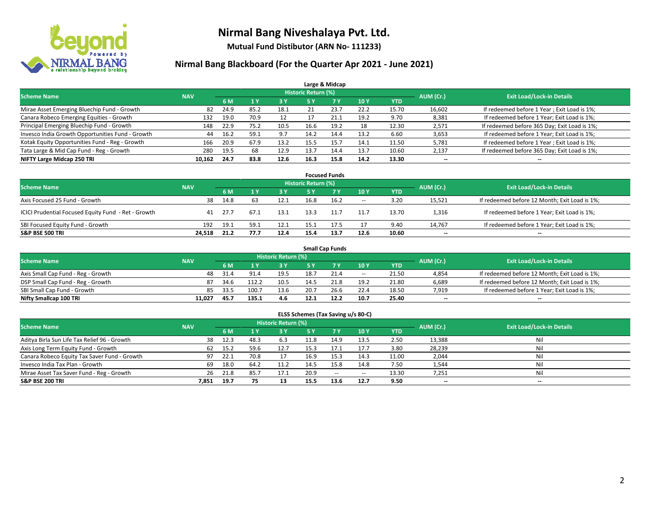

**Mutual Fund Distibutor (ARN No- 111233)**

|                                                  |            |      |      |      |                            | Large & Midcap |      |            |           |                                              |
|--------------------------------------------------|------------|------|------|------|----------------------------|----------------|------|------------|-----------|----------------------------------------------|
| <b>Scheme Name</b>                               | <b>NAV</b> |      |      |      | <b>Historic Return (%)</b> |                |      |            | AUM (Cr.) | <b>Exit Load/Lock-in Details</b>             |
|                                                  |            | 6 M  |      | 3 Y  | 5 Y                        | <b>7Y</b>      | 10Y  | <b>YTD</b> |           |                                              |
| Mirae Asset Emerging Bluechip Fund - Growth      | 82         | 24.9 | 85.2 | 18.1 | 21                         | 23.7           | 22.2 | 15.70      | 16,602    | If redeemed before 1 Year; Exit Load is 1%;  |
| Canara Robeco Emerging Equities - Growth         | 132        | 19.0 | 70.9 | 12   |                            | دُ.21          | 19.2 | 9.70       | 8,381     | If redeemed before 1 Year; Exit Load is 1%;  |
| Principal Emerging Bluechip Fund - Growth        | 148        | 22.9 | 75.2 | 10.5 | 16.6                       | 19.2           | 18   | 12.30      | 2,571     | If redeemed before 365 Day; Exit Load is 1%; |
| Invesco India Growth Opportunities Fund - Growth | 44         | 16.2 | 59.1 | 9.7  | 14.2                       | 14.4           | 13.2 | 6.60       | 3,653     | If redeemed before 1 Year; Exit Load is 1%;  |
| Kotak Equity Opportunities Fund - Reg - Growth   | 166        | 20.9 | 67.9 | 13.2 | 15.5                       | 15.7           | 14.1 | 11.50      | 5,781     | If redeemed before 1 Year; Exit Load is 1%;  |
| Tata Large & Mid Cap Fund - Reg - Growth         | 280        | 19.5 | 68   | 12.9 | 13.7                       | 14.4           | 13.7 | 10.60      | 2,137     | If redeemed before 365 Day; Exit Load is 1%; |
| NIFTY Large Midcap 250 TRI                       | 10,162     | 24.7 | 83.8 | 12.6 | 16.3                       | 15.8           | 14.2 | 13.30      | --        | $- -$                                        |

| <b>Focused Funds</b>                                |            |      |       |      |                     |      |        |            |           |                                               |  |  |  |
|-----------------------------------------------------|------------|------|-------|------|---------------------|------|--------|------------|-----------|-----------------------------------------------|--|--|--|
| <b>Scheme Name</b>                                  | <b>NAV</b> |      |       |      | Historic Return (%) |      |        |            | AUM (Cr.) | <b>Exit Load/Lock-in Details</b>              |  |  |  |
|                                                     |            | 6 M  |       | 3 Y  | 5 Y                 |      | 10Y    | <b>YTD</b> |           |                                               |  |  |  |
| Axis Focused 25 Fund - Growth                       | 38         | 14.8 | 63    | 12.1 | 16.8                | 16.2 | $\sim$ | 3.20       | 15,521    | If redeemed before 12 Month; Exit Load is 1%; |  |  |  |
| ICICI Prudential Focused Equity Fund - Ret - Growth | 41         | 27.7 | -67.1 | 13.1 | 13.3                | 11.7 | 11.7   | 13.70      | 1,316     | If redeemed before 1 Year; Exit Load is 1%;   |  |  |  |
| SBI Focused Equity Fund - Growth                    | 192        | 19.1 | 59.1  | 12.1 | 15.1                | 17.5 | 17     | 9.40       | 14,767    | If redeemed before 1 Year; Exit Load is 1%;   |  |  |  |
| <b>S&amp;P BSE 500 TRI</b>                          | 24.518     | 21.2 | 77.7  | 12.4 | 15.4                | 13.7 | 12.6   | 10.60      | $- -$     | $\overline{\phantom{a}}$                      |  |  |  |

| <b>Small Cap Funds</b>             |            |      |       |                            |      |      |                          |       |           |                                               |  |  |  |  |
|------------------------------------|------------|------|-------|----------------------------|------|------|--------------------------|-------|-----------|-----------------------------------------------|--|--|--|--|
| <b>Scheme Name</b>                 | <b>NAV</b> |      |       | <b>Historic Return (%)</b> |      |      |                          |       | AUM (Cr.) | <b>Exit Load/Lock-in Details</b>              |  |  |  |  |
|                                    |            | 6 M  |       | 73 Y.                      |      |      | 10Y                      | YTD   |           |                                               |  |  |  |  |
| Axis Small Cap Fund - Reg - Growth | 48         | 31.4 | 91.4  | 19.5                       | 18.7 | 21.4 | $\overline{\phantom{a}}$ | 21.50 | 4,854     | If redeemed before 12 Month; Exit Load is 1%; |  |  |  |  |
| DSP Small Cap Fund - Reg - Growth  | 87         | 34.6 | 112.2 | 10.5                       | 14.5 | 21.8 | 19.2                     | 21.80 | 6,689     | If redeemed before 12 Month; Exit Load is 1%; |  |  |  |  |
| SBI Small Cap Fund - Growth        | 85         | 33.5 | 100.7 | 13.6                       | 20.7 | 26.6 | 22.4                     | 18.50 | 7,919     | If redeemed before 1 Year; Exit Load is 1%;   |  |  |  |  |
| Nifty Smallcap 100 TRI             | 11.027     | 45.7 | 135.1 | 4.6                        | 12.1 | 12.2 | 10.7                     | 25.40 | $- -$     | $\overline{\phantom{a}}$                      |  |  |  |  |

| ELSS Schemes (Tax Saving u/s 80-C)           |            |      |           |                                  |           |           |        |            |        |     |  |  |  |  |
|----------------------------------------------|------------|------|-----------|----------------------------------|-----------|-----------|--------|------------|--------|-----|--|--|--|--|
| <b>Scheme Name</b>                           | <b>NAV</b> |      | AUM (Cr.) | <b>Exit Load/Lock-in Details</b> |           |           |        |            |        |     |  |  |  |  |
|                                              |            | 6 M  | 1Y        | 3 Y                              | <b>5Y</b> | <b>7Y</b> | 10Y    | <b>YTD</b> |        |     |  |  |  |  |
| Aditya Birla Sun Life Tax Relief 96 - Growth | 38         | 12.3 | 48.3      | 6.3                              | 11.8      | 14.9      | 13.5   | 2.50       | 13,388 | Ni  |  |  |  |  |
| Axis Long Term Equity Fund - Growth          | 62         | 15.2 | 59.6      | 12.7                             | 15.3      | 17.1      | 17.7   | 3.80       | 28,239 | Ni  |  |  |  |  |
| Canara Robeco Equity Tax Saver Fund - Growth | 97         | 22.1 | 70.8      | 17                               | 16.9      | 15.3      | 14.3   | 11.00      | 2,044  | Ni  |  |  |  |  |
| Invesco India Tax Plan - Growth              | 69         | 18.0 | 64.2      | 11.2                             | 14.5      | 15.8      | 14.8   | 7.50       | 1,544  | Ni  |  |  |  |  |
| Mirae Asset Tax Saver Fund - Reg - Growth    | 26         | 21.8 | 85.7      | 17.1                             | 20.9      | $\sim$    | $\sim$ | 13.30      | 7,251  | Nil |  |  |  |  |
| S&P BSE 200 TRI                              | 7,851      | 19.7 | 75        | 13                               | 15.5      | 13.6      | 12.7   | 9.50       | $- -$  | $-$ |  |  |  |  |
|                                              |            |      |           |                                  |           |           |        |            |        |     |  |  |  |  |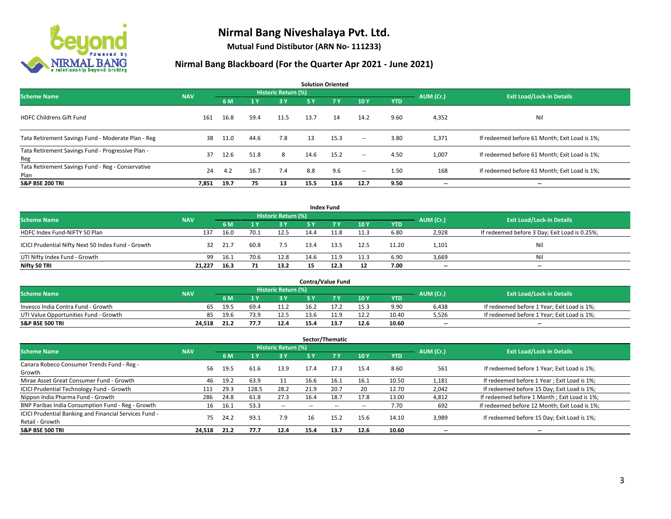

**Mutual Fund Distibutor (ARN No- 111233)**

| <b>Solution Oriented</b>                                  |            |      |      |                            |           |           |        |            |           |                                               |  |  |  |
|-----------------------------------------------------------|------------|------|------|----------------------------|-----------|-----------|--------|------------|-----------|-----------------------------------------------|--|--|--|
| <b>Scheme Name</b>                                        | <b>NAV</b> |      |      | <b>Historic Return (%)</b> |           |           |        |            | AUM (Cr.) | <b>Exit Load/Lock-in Details</b>              |  |  |  |
|                                                           |            | 6 M  | 1Y   | 3 Y                        | <b>5Y</b> | <b>7Y</b> | 10Y    | <b>YTD</b> |           |                                               |  |  |  |
| <b>HDFC Childrens Gift Fund</b>                           | 161        | 16.8 | 59.4 | 11.5                       | 13.7      | 14        | 14.2   | 9.60       | 4,352     | Nil                                           |  |  |  |
| Tata Retirement Savings Fund - Moderate Plan - Reg        | 38         | 11.0 | 44.6 | 7.8                        | 13        | 15.3      | $\sim$ | 3.80       | 1,371     | If redeemed before 61 Month; Exit Load is 1%; |  |  |  |
| Tata Retirement Savings Fund - Progressive Plan -<br>Reg  | 37         | 12.6 | 51.8 | 8                          | 14.6      | 15.2      | $\sim$ | 4.50       | 1,007     | If redeemed before 61 Month; Exit Load is 1%; |  |  |  |
| Tata Retirement Savings Fund - Reg - Conservative<br>Plan | 24         | 4.2  | 16.7 | 7.4                        | 8.8       | 9.6       | $ -$   | 1.50       | 168       | If redeemed before 61 Month; Exit Load is 1%; |  |  |  |
| <b>S&amp;P BSE 200 TRI</b>                                | 7,851      | 19.7 | 75   | 13                         | 15.5      | 13.6      | 12.7   | 9.50       | --        | --                                            |  |  |  |

|                                                    |            |      |      |                            |      | <b>Index Fund</b> |      |            |           |                                               |
|----------------------------------------------------|------------|------|------|----------------------------|------|-------------------|------|------------|-----------|-----------------------------------------------|
| <b>Scheme Name</b>                                 | <b>NAV</b> |      |      | <b>Historic Return (%)</b> |      |                   |      |            | AUM (Cr.) | <b>Exit Load/Lock-in Details</b>              |
|                                                    |            | 6 M  |      | 3 Y                        | 5 Y  | <b>77 V</b>       | 10Y  | <b>YTD</b> |           |                                               |
| HDFC Index Fund-NIFTY 50 Plan                      | 137        | 16.0 | 70.1 | 12.5                       | 14.4 | 11.8              | 11.3 | 6.80       | 2,928     | If redeemed before 3 Day; Exit Load is 0.25%; |
| ICICI Prudential Nifty Next 50 Index Fund - Growth | 32         | 21.7 | 60.8 | 7.5                        | 13.4 | 13.5              | 12.5 | 11.20      | 1,101     | Nil                                           |
| UTI Nifty Index Fund - Growth                      | 99         | 16.1 | 70.6 | 12.8                       | 14.6 | 11.9              | 11.3 | 6.90       | 3,669     | Nil                                           |
| Nifty 50 TRI                                       | 21,227     | 16.3 | 71   | 13.2                       |      | 12.3              | 12   | 7.00       | $- -$     | $\overline{\phantom{a}}$                      |

|                                       |            |      |     |                     |      | <b>Contra/Value Fund</b> |      |       |           |                                             |
|---------------------------------------|------------|------|-----|---------------------|------|--------------------------|------|-------|-----------|---------------------------------------------|
| <b>Scheme Name</b>                    | <b>NAV</b> |      |     | Historic Return (%) |      |                          |      |       | AUM (Cr.) | <b>Exit Load/Lock-in Details</b>            |
|                                       |            | 6 M  |     | 3 Y                 |      |                          | 10Y  | YTD   |           |                                             |
| Invesco India Contra Fund - Growth    | 65         | 19.5 | 69. | 11.2                | 16.2 |                          | 15.3 | 9.90  | 6,438     | If redeemed before 1 Year; Exit Load is 1%; |
| UTI Value Opportunities Fund - Growth | 85         | 19.6 |     | 12.5                | 13.6 | 11.9                     | 12.2 | 10.40 | 5,526     | If redeemed before 1 Year; Exit Load is 1%; |
| <b>S&amp;P BSE 500 TRI</b>            | 24.518     | 21.2 |     | 12.4                | 15.4 | 13.7                     | 12.6 | 10.60 | $- -$     | $\overline{\phantom{a}}$                    |

|                                                                           |            |      |                |                     |      | Sector/Thematic |      |            |           |                                               |
|---------------------------------------------------------------------------|------------|------|----------------|---------------------|------|-----------------|------|------------|-----------|-----------------------------------------------|
| <b>Scheme Name</b>                                                        | <b>NAV</b> |      |                | Historic Return (%) |      |                 |      |            | AUM (Cr.) | <b>Exit Load/Lock-in Details</b>              |
|                                                                           |            | 6 M  | 4 <sub>Y</sub> | <b>3Y</b>           | 5 Y  | 7Y              | 10Y  | <b>YTD</b> |           |                                               |
| Canara Robeco Consumer Trends Fund - Reg -<br>Growth                      | 56         | 19.5 | 61.6           | 13.9                | 17.4 | 17.3            | 15.4 | 8.60       | 561       | If redeemed before 1 Year; Exit Load is 1%;   |
| Mirae Asset Great Consumer Fund - Growth                                  | 46         | 19.2 | 63.9           | 11                  | 16.6 | 16.1            | 16.1 | 10.50      | 1,181     | If redeemed before 1 Year; Exit Load is 1%;   |
| <b>ICICI Prudential Technology Fund - Growth</b>                          | 111        | 29.3 | 128.5          | 28.2                | 21.9 | 20.7            | 20   | 12.70      | 2,042     | If redeemed before 15 Day; Exit Load is 1%;   |
| Nippon India Pharma Fund - Growth                                         | 286        | 24.8 | 61.8           | 27.3                | 16.4 | 18.7            | 17.8 | 13.00      | 4,812     | If redeemed before 1 Month; Exit Load is 1%;  |
| BNP Paribas India Consumption Fund - Reg - Growth                         | 16         | 16.1 | 53.3           | --                  |      |                 | --   | 7.70       | 692       | If redeemed before 12 Month; Exit Load is 1%; |
| ICICI Prudential Banking and Financial Services Fund -<br>Retail - Growth | 75         | 24.2 | 93.1           | 7.9                 | 16   | 15.2            | 15.6 | 14.10      | 3,989     | If redeemed before 15 Day; Exit Load is 1%;   |
| <b>S&amp;P BSE 500 TRI</b>                                                | 24,518     | 21.2 | 77.7           | 12.4                | 15.4 | 13.7            | 12.6 | 10.60      | --        | --                                            |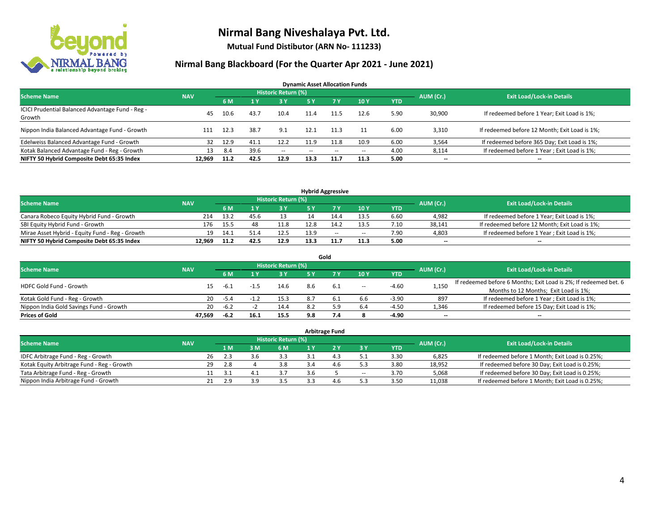

**Mutual Fund Distibutor (ARN No- 111233)**

| <b>Dynamic Asset Allocation Funds</b>                      |            |      |      |                            |      |       |       |            |           |                                               |  |  |  |
|------------------------------------------------------------|------------|------|------|----------------------------|------|-------|-------|------------|-----------|-----------------------------------------------|--|--|--|
| <b>Scheme Name</b>                                         | <b>NAV</b> |      |      | <b>Historic Return (%)</b> |      |       |       |            | AUM (Cr.) | <b>Exit Load/Lock-in Details</b>              |  |  |  |
|                                                            |            | 6 M  |      | 3 Y                        | 5 Y  | 7 Y   | 10Y   | <b>YTD</b> |           |                                               |  |  |  |
| ICICI Prudential Balanced Advantage Fund - Reg -<br>Growth | 45         | 10.6 | 43.7 | 10.4                       | 11.4 | 11.5  | 12.6  | 5.90       | 30,900    | If redeemed before 1 Year; Exit Load is 1%;   |  |  |  |
| Nippon India Balanced Advantage Fund - Growth              |            | 12.3 | 38.7 | 9.1                        | 12.1 | 11.3  |       | 6.00       | 3,310     | If redeemed before 12 Month; Exit Load is 1%; |  |  |  |
| Edelweiss Balanced Advantage Fund - Growth                 | 32         | 12.9 | 41.1 | 12.2                       | 11.9 | 11.8  | 10.9  | 6.00       | 3,564     | If redeemed before 365 Day; Exit Load is 1%;  |  |  |  |
| Kotak Balanced Advantage Fund - Reg - Growth               | 13         | 8.4  | 39.6 | $\sim$                     | --   | $- -$ | $\!-$ | 4.00       | 8,114     | If redeemed before 1 Year; Exit Load is 1%;   |  |  |  |
| NIFTY 50 Hybrid Composite Debt 65:35 Index                 | 12.969     | 11.2 | 42.5 | 12.9                       | 13.3 | 11.7  | 11.3  | 5.00       | $- -$     | --                                            |  |  |  |

| <b>Hybrid Aggressive</b>                        |            |      |       |                            |      |     |        |            |           |                                               |  |  |  |
|-------------------------------------------------|------------|------|-------|----------------------------|------|-----|--------|------------|-----------|-----------------------------------------------|--|--|--|
| <b>Scheme Name</b>                              | <b>NAV</b> |      |       | <b>Historic Return (%)</b> |      |     |        |            | AUM (Cr.) | <b>Exit Load/Lock-in Details</b>              |  |  |  |
|                                                 |            | 6 M  |       | י כ                        |      |     | 10Y    | <b>YTD</b> |           |                                               |  |  |  |
| Canara Robeco Equity Hybrid Fund - Growth       | 214        | 13.2 | 45.t. |                            |      |     | 13.5   | 6.60       | 4,982     | If redeemed before 1 Year; Exit Load is 1%;   |  |  |  |
| SBI Equity Hybrid Fund - Growth                 | 176        | 15.5 | 48    | 11.8                       | 12.8 |     | 13.5   | 7.10       | 38.141    | If redeemed before 12 Month; Exit Load is 1%; |  |  |  |
| Mirae Asset Hybrid - Equity Fund - Reg - Growth | 19         | 14.1 | 51.4  | 12.5                       | 13.9 | $-$ | $\sim$ | 7.90       | 4,803     | If redeemed before 1 Year; Exit Load is 1%;   |  |  |  |
| NIFTY 50 Hybrid Composite Debt 65:35 Index      | 12.969     | 11.2 | 42.5  | 12.9                       | 13.3 |     | 11.3   | 5.00       | $-$       | $-$                                           |  |  |  |

| Gold                                    |            |        |      |                            |     |           |       |            |                          |                                                                  |  |  |  |  |
|-----------------------------------------|------------|--------|------|----------------------------|-----|-----------|-------|------------|--------------------------|------------------------------------------------------------------|--|--|--|--|
| <b>Scheme Name</b>                      | <b>NAV</b> |        |      | <b>Historic Return (%)</b> |     |           |       |            | AUM (Cr.)                | <b>Exit Load/Lock-in Details</b>                                 |  |  |  |  |
|                                         |            | 6 M    |      | <b>3Y</b>                  | 5 Y | <b>7V</b> | 10Y   | <b>YTD</b> |                          |                                                                  |  |  |  |  |
| HDFC Gold Fund - Growth                 |            |        |      | 14.6                       | 8.6 | - 6.1     | $\!-$ | $-4.60$    | 1,150                    | If redeemed before 6 Months; Exit Load is 2%; If redeemed bet. 6 |  |  |  |  |
|                                         |            | -6.1   |      |                            |     |           |       |            |                          | Months to 12 Months; Exit Load is 1%;                            |  |  |  |  |
| Kotak Gold Fund - Reg - Growth          | 20         | -5.4   |      | 15.3                       |     |           | 6.6   | $-3.90$    | 897                      | If redeemed before 1 Year; Exit Load is 1%;                      |  |  |  |  |
| Nippon India Gold Savings Fund - Growth | 20         | $-6.2$ |      | 14.4                       | - R | 59        | 6.4   | $-4.50$    | 1,346                    | If redeemed before 15 Day; Exit Load is 1%;                      |  |  |  |  |
| <b>Prices of Gold</b>                   | 47.569     | -6.2   | 16.1 | 15.5                       | 9.8 |           |       | -4.90      | $\overline{\phantom{a}}$ | --                                                               |  |  |  |  |

| <b>Arbitrage Fund</b>                      |            |           |                                  |     |     |  |                |                          |            |        |                                                 |  |  |  |
|--------------------------------------------|------------|-----------|----------------------------------|-----|-----|--|----------------|--------------------------|------------|--------|-------------------------------------------------|--|--|--|
| <b>Scheme Name</b>                         | <b>NAV</b> | AUM (Cr.) | <b>Exit Load/Lock-in Details</b> |     |     |  |                |                          |            |        |                                                 |  |  |  |
|                                            |            |           | 4 M                              | 3 M | 6 M |  |                | 3 Y                      | <b>YTD</b> |        |                                                 |  |  |  |
| IDFC Arbitrage Fund - Reg - Growth         |            | 26        | 2.3                              | 3.6 | 3.3 |  | 1 <sup>2</sup> |                          | 3.30       | 6,825  | If redeemed before 1 Month; Exit Load is 0.25%; |  |  |  |
| Kotak Equity Arbitrage Fund - Reg - Growth |            | 29        | 2.8                              |     | 3.8 |  | 4.6            | 52                       | 3.80       | 18.952 | If redeemed before 30 Day; Exit Load is 0.25%;  |  |  |  |
| Tata Arbitrage Fund - Reg - Growth         |            |           | 3.1                              | 4.1 |     |  |                | $\overline{\phantom{a}}$ | 3.70       | 5,068  | If redeemed before 30 Day; Exit Load is 0.25%;  |  |  |  |
| Nippon India Arbitrage Fund - Growth       |            | 21        | 2.9                              | эa  | 3.5 |  | 4.6            |                          | 3.50       | 11,038 | If redeemed before 1 Month; Exit Load is 0.25%; |  |  |  |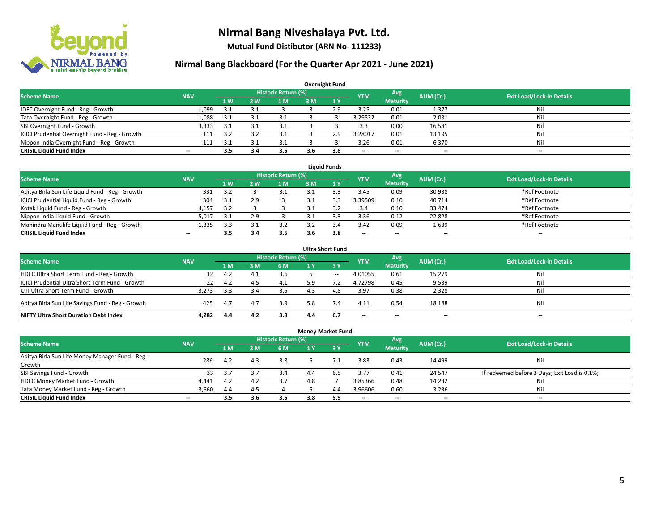

**Mutual Fund Distibutor (ARN No- 111233)**

| <b>Overnight Fund</b>                          |                          |     |     |                            |     |              |            |                          |           |                                  |  |  |  |  |
|------------------------------------------------|--------------------------|-----|-----|----------------------------|-----|--------------|------------|--------------------------|-----------|----------------------------------|--|--|--|--|
| <b>Scheme Name</b>                             | <b>NAV</b>               |     |     | <b>Historic Return (%)</b> |     |              | <b>YTM</b> | Avg                      | AUM (Cr.) | <b>Exit Load/Lock-in Details</b> |  |  |  |  |
|                                                |                          | 1W  | 2 W | 1 M                        | 3 M | $\sqrt{1}$ Y |            | <b>Maturity</b>          |           |                                  |  |  |  |  |
| IDFC Overnight Fund - Reg - Growth             | 1,099                    | 3.1 |     |                            |     | 2.9          | 3.25       | 0.01                     | 1,377     | Nil                              |  |  |  |  |
| Tata Overnight Fund - Reg - Growth             | 1,088                    | 3.1 |     | 3.1                        |     |              | 3.29522    | 0.01                     | 2,031     | Nil                              |  |  |  |  |
| SBI Overnight Fund - Growth                    | 3,333                    | 3.1 |     | 3.1                        |     |              | 3.3        | 0.00                     | 16,581    | Nil                              |  |  |  |  |
| ICICI Prudential Overnight Fund - Reg - Growth | 111                      | 3.2 |     | 3.1                        |     | 2.9          | 3.28017    | 0.01                     | 13,195    | Nil                              |  |  |  |  |
| Nippon India Overnight Fund - Reg - Growth     | 111                      | -21 |     |                            |     |              | 3.26       | 0.01                     | 6,370     | Nil                              |  |  |  |  |
| <b>CRISIL Liquid Fund Index</b>                | $\overline{\phantom{a}}$ | 3.5 | 3.4 | 3.5                        | 3.b | 3.8          | --         | $\overline{\phantom{a}}$ | --        | $-$                              |  |  |  |  |

| <b>Liquid Funds</b>                              |            |           |     |                     |     |     |                          |                 |           |                                  |  |  |  |  |
|--------------------------------------------------|------------|-----------|-----|---------------------|-----|-----|--------------------------|-----------------|-----------|----------------------------------|--|--|--|--|
| <b>Scheme Name</b>                               | <b>NAV</b> |           |     | Historic Return (%) |     |     | <b>YTM</b>               | Avg             | AUM (Cr.) | <b>Exit Load/Lock-in Details</b> |  |  |  |  |
|                                                  |            | <b>1W</b> | 2 W | 1 M                 | 3 M |     |                          | <b>Maturity</b> |           |                                  |  |  |  |  |
| Aditya Birla Sun Life Liquid Fund - Reg - Growth | 331        | 3.2       |     |                     |     |     | 3.45                     | 0.09            | 30,938    | *Ref Footnote                    |  |  |  |  |
| ICICI Prudential Liquid Fund - Reg - Growth      | 304        | 3.1       |     |                     |     |     | 3.39509                  | 0.10            | 40,714    | *Ref Footnote                    |  |  |  |  |
| Kotak Liquid Fund - Reg - Growth                 | 4,157      | 3.2       |     |                     |     |     | 3.4                      | 0.10            | 33,474    | *Ref Footnote                    |  |  |  |  |
| Nippon India Liquid Fund - Growth                | 5,01       | 3.1       |     |                     |     |     | 3.36                     | 0.12            | 22,828    | *Ref Footnote                    |  |  |  |  |
| Mahindra Manulife Liquid Fund - Reg - Growth     | 1,335      | 3.3       |     | 3.2                 |     |     | 3.42                     | 0.09            | 1,639     | *Ref Footnote                    |  |  |  |  |
| <b>CRISIL Liquid Fund Index</b>                  | $- -$      | 3.5       |     | 3.5                 | 3.6 | 3.8 | $\overline{\phantom{a}}$ | $- -$           | $- -$     | $-$                              |  |  |  |  |

| <b>Ultra Short Fund</b>                           |            |      |     |                            |     |        |                          |                 |           |                                  |  |  |  |
|---------------------------------------------------|------------|------|-----|----------------------------|-----|--------|--------------------------|-----------------|-----------|----------------------------------|--|--|--|
| <b>Scheme Name</b>                                | <b>NAV</b> |      |     | <b>Historic Return (%)</b> |     |        | <b>YTM</b>               | Avg             | AUM (Cr.) | <b>Exit Load/Lock-in Details</b> |  |  |  |
|                                                   |            | 1 M  | 3 M | 6 M                        | 1 Y | 3Y     |                          | <b>Maturity</b> |           |                                  |  |  |  |
| HDFC Ultra Short Term Fund - Reg - Growth         |            | 4.2  | 4.1 | 3.6                        |     | $\sim$ | 4.01055                  | 0.61            | 15,279    | Nil                              |  |  |  |
| ICICI Prudential Ultra Short Term Fund - Growth   | 22         | 4.2  | 4.5 | 4.1                        | 5.9 |        | 4.72798                  | 0.45            | 9,539     | Nil                              |  |  |  |
| UTI Ultra Short Term Fund - Growth                | 3.273      | -3.3 |     | 3.5                        |     |        | 3.97                     | 0.38            | 2,328     | Nil                              |  |  |  |
| Aditya Birla Sun Life Savings Fund - Reg - Growth | 425        | 4.7  | 4.7 | 3.9                        | 5.8 |        | 4.11                     | 0.54            | 18,188    | Nil                              |  |  |  |
| <b>NIFTY Ultra Short Duration Debt Index</b>      | 4.282      | 4.4  | 4.2 | 3.8                        | 4.4 | 6.7    | $\overline{\phantom{a}}$ | $- -$           | $- -$     | $-$                              |  |  |  |

| <b>Money Market Fund</b>                         |                          |     |     |                            |     |             |            |                 |           |                                               |  |  |  |  |
|--------------------------------------------------|--------------------------|-----|-----|----------------------------|-----|-------------|------------|-----------------|-----------|-----------------------------------------------|--|--|--|--|
| <b>Scheme Name</b>                               | <b>NAV</b>               |     |     | <b>Historic Return (%)</b> |     |             | <b>YTM</b> | Avg             | AUM (Cr.) | <b>Exit Load/Lock-in Details</b>              |  |  |  |  |
|                                                  |                          | 1 M | 3M  | 6 M                        | 1 Y | <b>73 Y</b> |            | <b>Maturity</b> |           |                                               |  |  |  |  |
| Aditya Birla Sun Life Money Manager Fund - Reg - | 286                      | 4.2 |     | 3.8                        |     |             | 3.83       | 0.43            |           | Nil                                           |  |  |  |  |
| Growth                                           |                          |     | 4.3 |                            |     |             |            |                 | 14,499    |                                               |  |  |  |  |
| SBI Savings Fund - Growth                        | 33                       | 3.7 | 3.7 | 3.4                        |     |             | 3.77       | 0.41            | 24,547    | If redeemed before 3 Days; Exit Load is 0.1%; |  |  |  |  |
| HDFC Money Market Fund - Growth                  | 4,441                    | 4.2 | 4.2 | 3.7                        | 4.8 |             | 3.85366    | 0.48            | 14,232    | Nil                                           |  |  |  |  |
| Tata Money Market Fund - Reg - Growth            | 3,660                    | 4.4 | 4.5 |                            |     | 4.4         | 3.96606    | 0.60            | 3,236     | Nil                                           |  |  |  |  |
| <b>CRISIL Liquid Fund Index</b>                  | $\overline{\phantom{a}}$ | 3.5 | 3.6 | 3.5                        | 3.8 | 5.9         | --         | $- -$           | $- -$     | $\overline{\phantom{a}}$                      |  |  |  |  |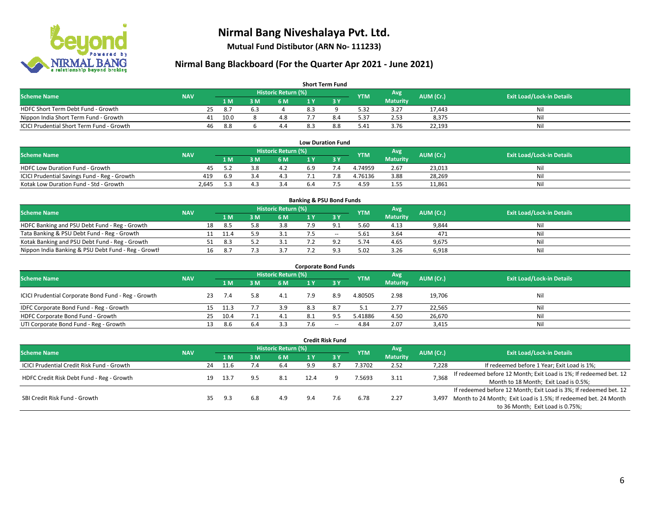

**Mutual Fund Distibutor (ARN No- 111233)**

| <b>Short Term Fund</b>                                                                                                               |  |    |      |     |     |     |     |      |                 |        |     |  |  |  |
|--------------------------------------------------------------------------------------------------------------------------------------|--|----|------|-----|-----|-----|-----|------|-----------------|--------|-----|--|--|--|
| <b>Historic Return (%)</b><br>Avg<br><b>Exit Load/Lock-in Details</b><br>AUM (Cr.)<br><b>Scheme Name</b><br><b>NAV</b><br><b>YTM</b> |  |    |      |     |     |     |     |      |                 |        |     |  |  |  |
|                                                                                                                                      |  |    | 1 M. | з м | 6 M | 1 Y |     |      | <b>Maturity</b> |        |     |  |  |  |
| HDFC Short Term Debt Fund - Growth                                                                                                   |  | 25 | -8.7 | 6.5 |     | 8.3 |     | 5.32 | 3.27            | 17.443 | Nil |  |  |  |
| Nippon India Short Term Fund - Growth                                                                                                |  | 41 | 10.0 |     | 4.8 |     |     | 5.37 | 2.53            | 8.375  | Nil |  |  |  |
| ICICI Prudential Short Term Fund - Growth                                                                                            |  | 46 | 8.8  |     | 4.4 |     | 8.8 | 5.41 | 3.76            | 22,193 | Nil |  |  |  |

| <b>Low Duration Fund</b>                     |            |      |  |                     |     |  |            |                 |           |                                  |  |  |  |  |
|----------------------------------------------|------------|------|--|---------------------|-----|--|------------|-----------------|-----------|----------------------------------|--|--|--|--|
| <b>Scheme Name</b>                           | <b>NAV</b> |      |  | Historic Return (%) |     |  | <b>YTM</b> | Avg             | AUM (Cr.) | <b>Exit Load/Lock-in Details</b> |  |  |  |  |
|                                              |            | 1 M  |  | 6 M                 |     |  |            | <b>Maturity</b> |           |                                  |  |  |  |  |
| <b>HDFC Low Duration Fund - Growth</b>       | 45         |      |  | 4.Z                 | 6.9 |  | 4.74959    | 2.67            | 23,013    | Nil                              |  |  |  |  |
| ICICI Prudential Savings Fund - Reg - Growth | 419        | -6.9 |  | 4.3                 |     |  | 4.76136    | 3.88            | 28,269    | Nil                              |  |  |  |  |
| Kotak Low Duration Fund - Std - Growth       | 2.645      | 52   |  |                     | b.4 |  | 4.59       | 1.55            | 11,861    | Nil                              |  |  |  |  |

| <b>Banking &amp; PSU Bond Funds</b>                 |            |    |      |     |                     |  |        |            |                 |           |                                  |  |  |  |
|-----------------------------------------------------|------------|----|------|-----|---------------------|--|--------|------------|-----------------|-----------|----------------------------------|--|--|--|
| <b>Scheme Name</b>                                  | <b>NAV</b> |    |      |     | Historic Return (%) |  |        | <b>YTM</b> | Avg             | AUM (Cr.) | <b>Exit Load/Lock-in Details</b> |  |  |  |
|                                                     |            |    | 1 M  | . M | 6 M                 |  |        |            | <b>Maturity</b> |           |                                  |  |  |  |
| HDFC Banking and PSU Debt Fund - Reg - Growth       |            | 18 | 8.5  |     | 3.8                 |  |        | 5.60       | 4.13            | 9,844     | Nil                              |  |  |  |
| Tata Banking & PSU Debt Fund - Reg - Growth         |            |    | 11.4 |     |                     |  | $\sim$ | 5.61       | 3.64            | 471       | Nil                              |  |  |  |
| Kotak Banking and PSU Debt Fund - Reg - Growth      |            |    | 8.3  |     |                     |  |        | 5.74       | 4.65            | 9,675     | Nil                              |  |  |  |
| Nippon India Banking & PSU Debt Fund - Reg - Growth |            | 16 | 8.   |     |                     |  | Q      | 5.02       | 3.26            | 6,918     | Nil                              |  |  |  |

| <b>Corporate Bond Funds</b>                         |            |    |      |      |                            |     |                          |            |                 |           |                                  |  |  |  |
|-----------------------------------------------------|------------|----|------|------|----------------------------|-----|--------------------------|------------|-----------------|-----------|----------------------------------|--|--|--|
| <b>Scheme Name</b>                                  |            |    |      |      | <b>Historic Return (%)</b> |     |                          | <b>YTM</b> | Avg             | AUM (Cr.) | <b>Exit Load/Lock-in Details</b> |  |  |  |
|                                                     | <b>NAV</b> |    | 1 M  | M    | 6 M                        | 1 Y | 73 Y                     |            | <b>Maturity</b> |           |                                  |  |  |  |
| ICICI Prudential Corporate Bond Fund - Reg - Growth |            | 23 | 7.4  |      | 4.1                        | 7.9 | 8.9                      | 4.80505    | 2.98            | 19,706    | Nil                              |  |  |  |
| IDFC Corporate Bond Fund - Reg - Growth             |            | 15 | 11.3 |      | 3.9                        | 8.3 | 8.7                      | 5.1        | 2.77            | 22,565    | Nil                              |  |  |  |
| HDFC Corporate Bond Fund - Growth                   |            | 25 | 10.4 |      | 4.1                        | 8.1 | 9.5                      | 5.41886    | 4.50            | 26,670    | Nil                              |  |  |  |
| UTI Corporate Bond Fund - Reg - Growth              |            |    | 8.6  | -6.4 | 3.3                        | 7.6 | $\overline{\phantom{a}}$ | 4.84       | 2.07            | 3,415     | Nil                              |  |  |  |

| <b>Credit Risk Fund</b>                    |            |    |                            |             |     |      |       |            |                 |           |                                                                       |
|--------------------------------------------|------------|----|----------------------------|-------------|-----|------|-------|------------|-----------------|-----------|-----------------------------------------------------------------------|
| <b>Scheme Name</b>                         | <b>NAV</b> |    | <b>Historic Return (%)</b> |             |     |      |       |            | Avg             | AUM (Cr.) | <b>Exit Load/Lock-in Details</b>                                      |
|                                            |            |    | 1 M                        | : M         | 6 M | 1 Y  | $-3V$ | <b>YTM</b> | <b>Maturity</b> |           |                                                                       |
| ICICI Prudential Credit Risk Fund - Growth |            | 24 | 11.6                       | $\sqrt{.4}$ | 6.4 | 9.9  |       | 7.3702     | 2.52            | 7,228     | If redeemed before 1 Year; Exit Load is 1%;                           |
| HDFC Credit Risk Debt Fund - Reg - Growth  |            | 19 | 13.7                       |             |     | 12.4 |       | 7.5693     | 3.11            | 7,368     | If redeemed before 12 Month; Exit Load is 1%; If redeemed bet. 12     |
|                                            |            |    |                            |             |     |      |       |            |                 |           | Month to 18 Month; Exit Load is 0.5%;                                 |
|                                            |            |    |                            |             |     |      |       |            |                 |           | If redeemed before 12 Month; Exit Load is 3%; If redeemed bet. 12     |
| SBI Credit Risk Fund - Growth              |            |    | 9.3                        | 6.8         | 4.9 | 9.4  | 7.6   | 6.78       | 2.27            |           | 3,497 Month to 24 Month; Exit Load is 1.5%; If redeemed bet. 24 Month |
|                                            |            |    |                            |             |     |      |       |            |                 |           | to 36 Month; Exit Load is 0.75%;                                      |